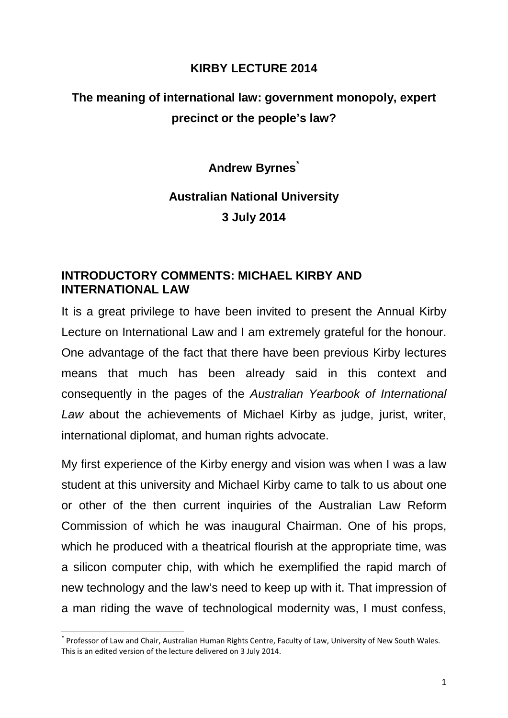## **KIRBY LECTURE 2014**

# **The meaning of international law: government monopoly, expert precinct or the people's law?**

**Andrew Byrnes[\\*](#page-0-0)**

# **Australian National University 3 July 2014**

# **INTRODUCTORY COMMENTS: MICHAEL KIRBY AND INTERNATIONAL LAW**

It is a great privilege to have been invited to present the Annual Kirby Lecture on International Law and I am extremely grateful for the honour. One advantage of the fact that there have been previous Kirby lectures means that much has been already said in this context and consequently in the pages of the *Australian Yearbook of International Law* about the achievements of Michael Kirby as judge, jurist, writer, international diplomat, and human rights advocate.

My first experience of the Kirby energy and vision was when I was a law student at this university and Michael Kirby came to talk to us about one or other of the then current inquiries of the Australian Law Reform Commission of which he was inaugural Chairman. One of his props, which he produced with a theatrical flourish at the appropriate time, was a silicon computer chip, with which he exemplified the rapid march of new technology and the law's need to keep up with it. That impression of a man riding the wave of technological modernity was, I must confess,

<span id="page-0-0"></span> <sup>\*</sup> Professor of Law and Chair, Australian Human Rights Centre, Faculty of Law, University of New South Wales. This is an edited version of the lecture delivered on 3 July 2014.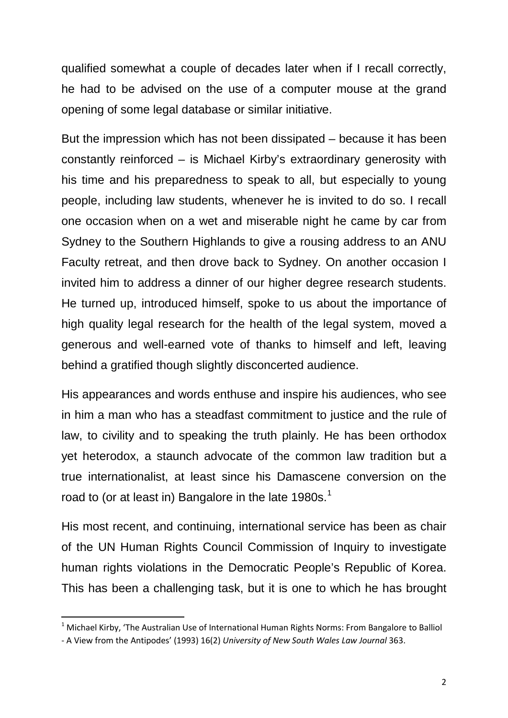qualified somewhat a couple of decades later when if I recall correctly, he had to be advised on the use of a computer mouse at the grand opening of some legal database or similar initiative.

But the impression which has not been dissipated – because it has been constantly reinforced – is Michael Kirby's extraordinary generosity with his time and his preparedness to speak to all, but especially to young people, including law students, whenever he is invited to do so. I recall one occasion when on a wet and miserable night he came by car from Sydney to the Southern Highlands to give a rousing address to an ANU Faculty retreat, and then drove back to Sydney. On another occasion I invited him to address a dinner of our higher degree research students. He turned up, introduced himself, spoke to us about the importance of high quality legal research for the health of the legal system, moved a generous and well-earned vote of thanks to himself and left, leaving behind a gratified though slightly disconcerted audience.

His appearances and words enthuse and inspire his audiences, who see in him a man who has a steadfast commitment to justice and the rule of law, to civility and to speaking the truth plainly. He has been orthodox yet heterodox, a staunch advocate of the common law tradition but a true internationalist, at least since his Damascene conversion on the road to (or at least in) Bangalore in the late  $1980s<sup>1</sup>$  $1980s<sup>1</sup>$ 

His most recent, and continuing, international service has been as chair of the UN Human Rights Council Commission of Inquiry to investigate human rights violations in the Democratic People's Republic of Korea. This has been a challenging task, but it is one to which he has brought

<span id="page-1-0"></span><sup>&</sup>lt;sup>1</sup> Michael Kirby, 'The Australian Use of International Human Rights Norms: From Bangalore to Balliol

<sup>-</sup> A View from the Antipodes' (1993) 16(2) *[University of New South Wales Law Journal](http://www.austlii.edu.au/au/journals/UNSWLJ/1993/15.html)* 363.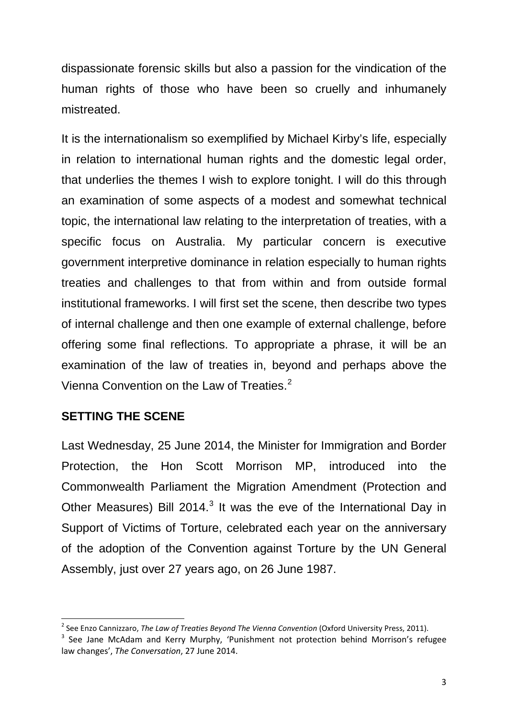dispassionate forensic skills but also a passion for the vindication of the human rights of those who have been so cruelly and inhumanely mistreated.

It is the internationalism so exemplified by Michael Kirby's life, especially in relation to international human rights and the domestic legal order, that underlies the themes I wish to explore tonight. I will do this through an examination of some aspects of a modest and somewhat technical topic, the international law relating to the interpretation of treaties, with a specific focus on Australia. My particular concern is executive government interpretive dominance in relation especially to human rights treaties and challenges to that from within and from outside formal institutional frameworks. I will first set the scene, then describe two types of internal challenge and then one example of external challenge, before offering some final reflections. To appropriate a phrase, it will be an examination of the law of treaties in, beyond and perhaps above the Vienna Convention on the Law of Treaties.<sup>[2](#page-2-0)</sup>

## **SETTING THE SCENE**

Last Wednesday, 25 June 2014, the Minister for Immigration and Border Protection, the Hon Scott Morrison MP, introduced into the Commonwealth Parliament the Migration Amendment (Protection and Other Measures) Bill 2014.<sup>[3](#page-2-1)</sup> It was the eve of the International Day in Support of Victims of Torture, celebrated each year on the anniversary of the adoption of the Convention against Torture by the UN General Assembly, just over 27 years ago, on 26 June 1987.

<span id="page-2-0"></span> <sup>2</sup> See Enzo Cannizzaro, *The Law of Treaties Beyond The Vienna Convention* (Oxford University Press, 2011).

<span id="page-2-1"></span><sup>&</sup>lt;sup>3</sup> See Jane McAdam and Kerry Murphy, 'Punishment not protection behind Morrison's refugee law changes', *The Conversation*, 27 June 2014.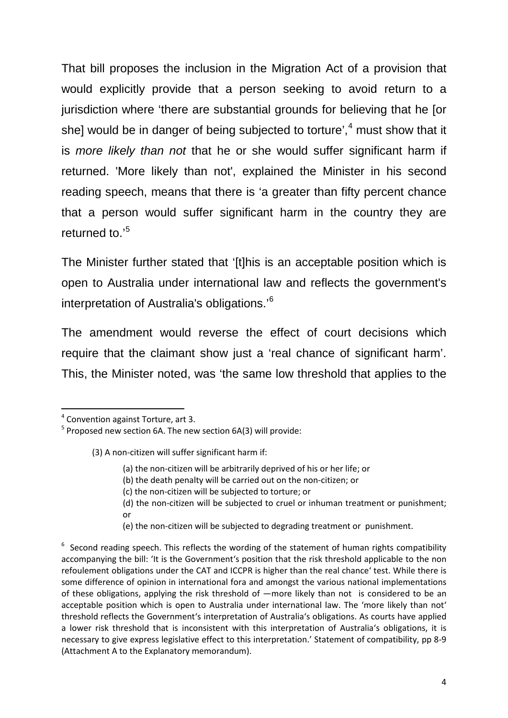That bill proposes the inclusion in the Migration Act of a provision that would explicitly provide that a person seeking to avoid return to a jurisdiction where 'there are substantial grounds for believing that he [or she] would be in danger of being subjected to torture',<sup>[4](#page-3-0)</sup> must show that it is *more likely than not* that he or she would suffer significant harm if returned. 'More likely than not', explained the Minister in his second reading speech, means that there is 'a greater than fifty percent chance that a person would suffer significant harm in the country they are returned to.'[5](#page-3-1)

The Minister further stated that '[t]his is an acceptable position which is open to Australia under international law and reflects the government's interpretation of Australia's obligations.'[6](#page-3-2)

The amendment would reverse the effect of court decisions which require that the claimant show just a 'real chance of significant harm'. This, the Minister noted, was 'the same low threshold that applies to the

- (3) A non-citizen will suffer significant harm if:
	- (a) the non-citizen will be arbitrarily deprived of his or her life; or
	- (b) the death penalty will be carried out on the non-citizen; or
	- (c) the non-citizen will be subjected to torture; or
	- (d) the non-citizen will be subjected to cruel or inhuman treatment or punishment; or
	- (e) the non-citizen will be subjected to degrading treatment or punishment.

<span id="page-3-0"></span> <sup>4</sup> Convention against Torture, art 3.

<span id="page-3-1"></span> $5$  Proposed new section 6A. The new section 6A(3) will provide:

<span id="page-3-2"></span> $6$  Second reading speech. This reflects the wording of the statement of human rights compatibility accompanying the bill: 'It is the Government's position that the risk threshold applicable to the non refoulement obligations under the CAT and ICCPR is higher than the real chance' test. While there is some difference of opinion in international fora and amongst the various national implementations of these obligations, applying the risk threshold of  $-$ more likely than not is considered to be an acceptable position which is open to Australia under international law. The 'more likely than not' threshold reflects the Government's interpretation of Australia's obligations. As courts have applied a lower risk threshold that is inconsistent with this interpretation of Australia's obligations, it is necessary to give express legislative effect to this interpretation.' Statement of compatibility, pp 8-9 (Attachment A to the Explanatory memorandum).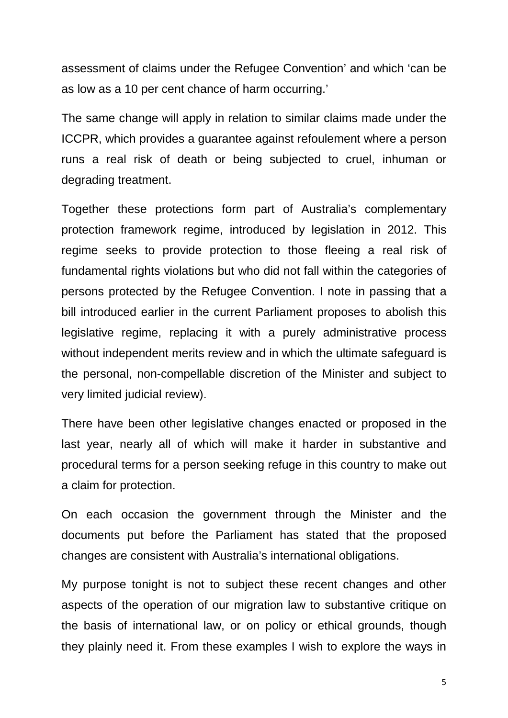assessment of claims under the Refugee Convention' and which 'can be as low as a 10 per cent chance of harm occurring.'

The same change will apply in relation to similar claims made under the ICCPR, which provides a guarantee against refoulement where a person runs a real risk of death or being subjected to cruel, inhuman or degrading treatment.

Together these protections form part of Australia's complementary protection framework regime, introduced by legislation in 2012. This regime seeks to provide protection to those fleeing a real risk of fundamental rights violations but who did not fall within the categories of persons protected by the Refugee Convention. I note in passing that a bill introduced earlier in the current Parliament proposes to abolish this legislative regime, replacing it with a purely administrative process without independent merits review and in which the ultimate safeguard is the personal, non-compellable discretion of the Minister and subject to very limited judicial review).

There have been other legislative changes enacted or proposed in the last year, nearly all of which will make it harder in substantive and procedural terms for a person seeking refuge in this country to make out a claim for protection.

On each occasion the government through the Minister and the documents put before the Parliament has stated that the proposed changes are consistent with Australia's international obligations.

My purpose tonight is not to subject these recent changes and other aspects of the operation of our migration law to substantive critique on the basis of international law, or on policy or ethical grounds, though they plainly need it. From these examples I wish to explore the ways in

5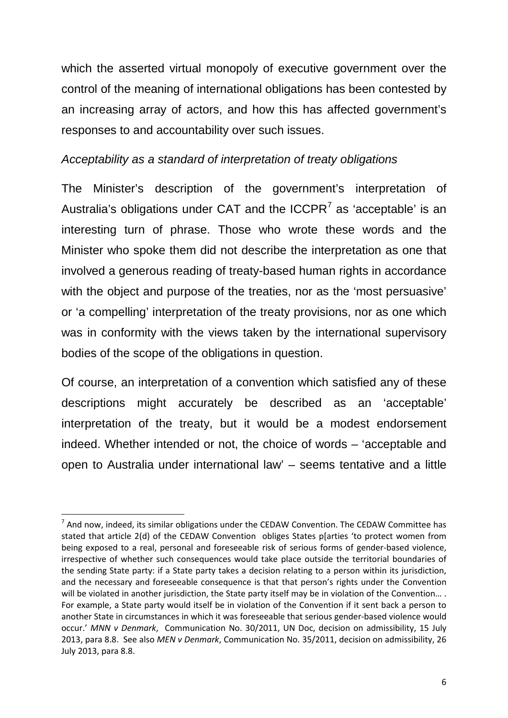which the asserted virtual monopoly of executive government over the control of the meaning of international obligations has been contested by an increasing array of actors, and how this has affected government's responses to and accountability over such issues.

# *Acceptability as a standard of interpretation of treaty obligations*

The Minister's description of the government's interpretation of Australia's obligations under CAT and the  $ICCPR<sup>7</sup>$  $ICCPR<sup>7</sup>$  $ICCPR<sup>7</sup>$  as 'acceptable' is an interesting turn of phrase. Those who wrote these words and the Minister who spoke them did not describe the interpretation as one that involved a generous reading of treaty-based human rights in accordance with the object and purpose of the treaties, nor as the 'most persuasive' or 'a compelling' interpretation of the treaty provisions, nor as one which was in conformity with the views taken by the international supervisory bodies of the scope of the obligations in question.

Of course, an interpretation of a convention which satisfied any of these descriptions might accurately be described as an 'acceptable' interpretation of the treaty, but it would be a modest endorsement indeed. Whether intended or not, the choice of words – 'acceptable and open to Australia under international law' – seems tentative and a little

<span id="page-5-0"></span> $<sup>7</sup>$  And now, indeed, its similar obligations under the CEDAW Convention. The CEDAW Committee has</sup> stated that article 2(d) of the CEDAW Convention obliges States p[arties 'to protect women from being exposed to a real, personal and foreseeable risk of serious forms of gender-based violence, irrespective of whether such consequences would take place outside the territorial boundaries of the sending State party: if a State party takes a decision relating to a person within its jurisdiction, and the necessary and foreseeable consequence is that that person's rights under the Convention will be violated in another jurisdiction, the State party itself may be in violation of the Convention... . For example, a State party would itself be in violation of the Convention if it sent back a person to another State in circumstances in which it was foreseeable that serious gender-based violence would occur.' *MNN v Denmark*, Communication No. 30/2011, UN Doc, decision on admissibility, 15 July 2013, para 8.8. See also *MEN v Denmark*, Communication No. 35/2011, decision on admissibility, 26 July 2013, para 8.8.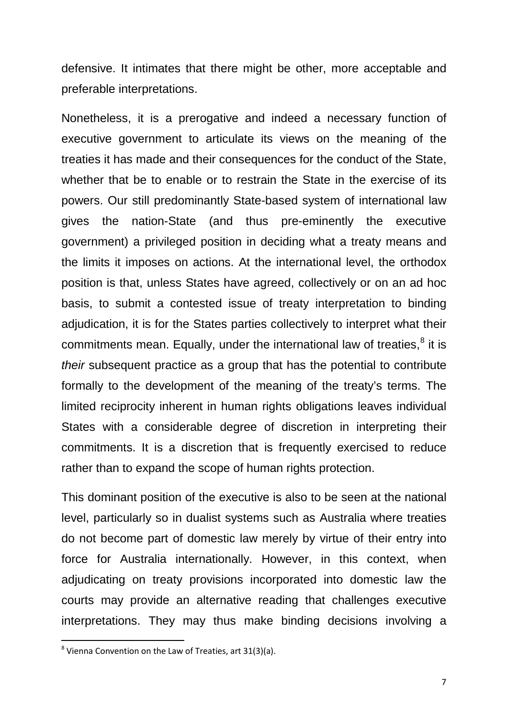defensive. It intimates that there might be other, more acceptable and preferable interpretations.

Nonetheless, it is a prerogative and indeed a necessary function of executive government to articulate its views on the meaning of the treaties it has made and their consequences for the conduct of the State, whether that be to enable or to restrain the State in the exercise of its powers. Our still predominantly State-based system of international law gives the nation-State (and thus pre-eminently the executive government) a privileged position in deciding what a treaty means and the limits it imposes on actions. At the international level, the orthodox position is that, unless States have agreed, collectively or on an ad hoc basis, to submit a contested issue of treaty interpretation to binding adjudication, it is for the States parties collectively to interpret what their commitments mean. Equally, under the international law of treaties, $<sup>8</sup>$  $<sup>8</sup>$  $<sup>8</sup>$  it is</sup> *their* subsequent practice as a group that has the potential to contribute formally to the development of the meaning of the treaty's terms. The limited reciprocity inherent in human rights obligations leaves individual States with a considerable degree of discretion in interpreting their commitments. It is a discretion that is frequently exercised to reduce rather than to expand the scope of human rights protection.

This dominant position of the executive is also to be seen at the national level, particularly so in dualist systems such as Australia where treaties do not become part of domestic law merely by virtue of their entry into force for Australia internationally. However, in this context, when adjudicating on treaty provisions incorporated into domestic law the courts may provide an alternative reading that challenges executive interpretations. They may thus make binding decisions involving a

<span id="page-6-0"></span> <sup>8</sup> Vienna Convention on the Law of Treaties, art 31(3)(a).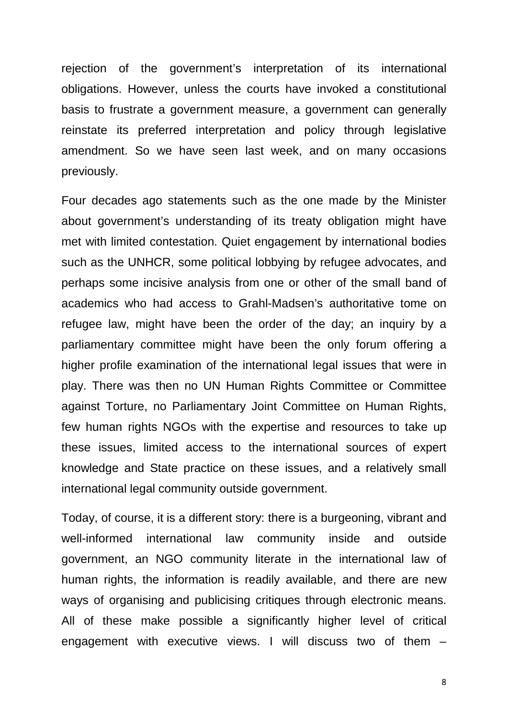rejection of the government's interpretation of its international obligations. However, unless the courts have invoked a constitutional basis to frustrate a government measure, a government can generally reinstate its preferred interpretation and policy through legislative amendment. So we have seen last week, and on many occasions previously.

Four decades ago statements such as the one made by the Minister about government's understanding of its treaty obligation might have met with limited contestation. Quiet engagement by international bodies such as the UNHCR, some political lobbying by refugee advocates, and perhaps some incisive analysis from one or other of the small band of academics who had access to Grahl-Madsen's authoritative tome on refugee law, might have been the order of the day; an inquiry by a parliamentary committee might have been the only forum offering a higher profile examination of the international legal issues that were in play. There was then no UN Human Rights Committee or Committee against Torture, no Parliamentary Joint Committee on Human Rights, few human rights NGOs with the expertise and resources to take up these issues, limited access to the international sources of expert knowledge and State practice on these issues, and a relatively small international legal community outside government.

Today, of course, it is a different story: there is a burgeoning, vibrant and well-informed international law community inside and outside government, an NGO community literate in the international law of human rights, the information is readily available, and there are new ways of organising and publicising critiques through electronic means. All of these make possible a significantly higher level of critical engagement with executive views. I will discuss two of them –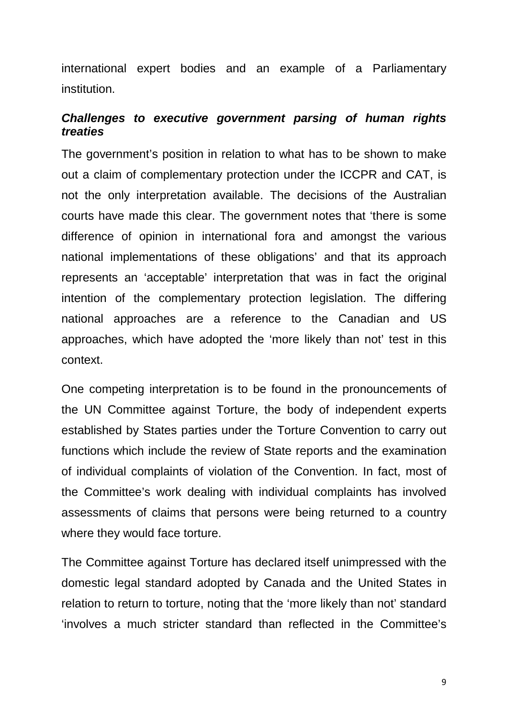international expert bodies and an example of a Parliamentary institution.

# *Challenges to executive government parsing of human rights treaties*

The government's position in relation to what has to be shown to make out a claim of complementary protection under the ICCPR and CAT, is not the only interpretation available. The decisions of the Australian courts have made this clear. The government notes that 'there is some difference of opinion in international fora and amongst the various national implementations of these obligations' and that its approach represents an 'acceptable' interpretation that was in fact the original intention of the complementary protection legislation. The differing national approaches are a reference to the Canadian and US approaches, which have adopted the 'more likely than not' test in this context.

One competing interpretation is to be found in the pronouncements of the UN Committee against Torture, the body of independent experts established by States parties under the Torture Convention to carry out functions which include the review of State reports and the examination of individual complaints of violation of the Convention. In fact, most of the Committee's work dealing with individual complaints has involved assessments of claims that persons were being returned to a country where they would face torture.

The Committee against Torture has declared itself unimpressed with the domestic legal standard adopted by Canada and the United States in relation to return to torture, noting that the 'more likely than not' standard 'involves a much stricter standard than reflected in the Committee's

9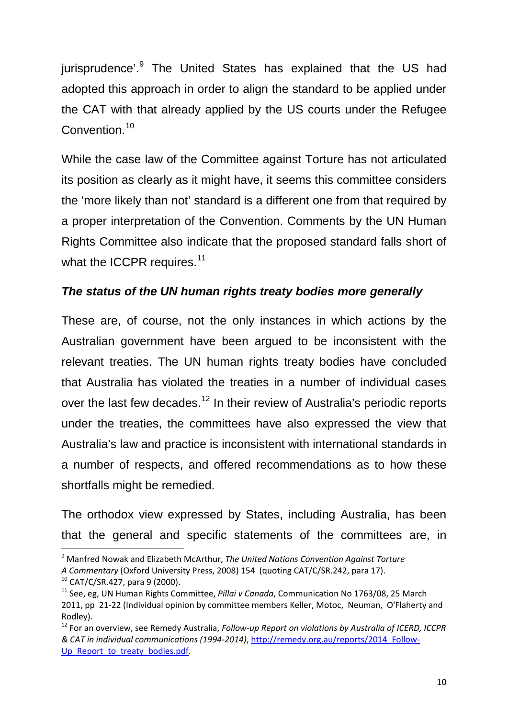<span id="page-9-4"></span>jurisprudence'.<sup>[9](#page-9-0)</sup> The United States has explained that the US had adopted this approach in order to align the standard to be applied under the CAT with that already applied by the US courts under the Refugee Convention.<sup>[10](#page-9-1)</sup>

While the case law of the Committee against Torture has not articulated its position as clearly as it might have, it seems this committee considers the 'more likely than not' standard is a different one from that required by a proper interpretation of the Convention. Comments by the UN Human Rights Committee also indicate that the proposed standard falls short of what the ICCPR requires.<sup>[11](#page-9-2)</sup>

# *The status of the UN human rights treaty bodies more generally*

These are, of course, not the only instances in which actions by the Australian government have been argued to be inconsistent with the relevant treaties. The UN human rights treaty bodies have concluded that Australia has violated the treaties in a number of individual cases over the last few decades.<sup>[12](#page-9-3)</sup> In their review of Australia's periodic reports under the treaties, the committees have also expressed the view that Australia's law and practice is inconsistent with international standards in a number of respects, and offered recommendations as to how these shortfalls might be remedied.

The orthodox view expressed by States, including Australia, has been that the general and specific statements of the committees are, in

<span id="page-9-1"></span> $10$  CAT/C/SR.427, para 9 (2000).

<span id="page-9-0"></span> <sup>9</sup> Manfred Nowak and Elizabeth McArthur, *The United Nations Convention Against Torture*

*A Commentary* (Oxford University Press, 2008) 154 (quoting CAT/C/SR.242, para 17).

<span id="page-9-2"></span><sup>11</sup> See, eg, UN Human Rights Committee, *Pillai v Canada*, Communication No 1763/08, 25 March 2011, pp 21-22 (Individual opinion by committee members Keller, Motoc, Neuman, O'Flaherty and Rodley).

<span id="page-9-3"></span><sup>12</sup> For an overview, see Remedy Australia, *Follow-up Report on violations by Australia of ICERD, ICCPR & CAT in individual communications (1994-2014)*, [http://remedy.org.au/reports/2014\\_Follow-](http://remedy.org.au/reports/2014_Follow-Up_Report_to_treaty_bodies.pdf)[Up\\_Report\\_to\\_treaty\\_bodies.pdf.](http://remedy.org.au/reports/2014_Follow-Up_Report_to_treaty_bodies.pdf)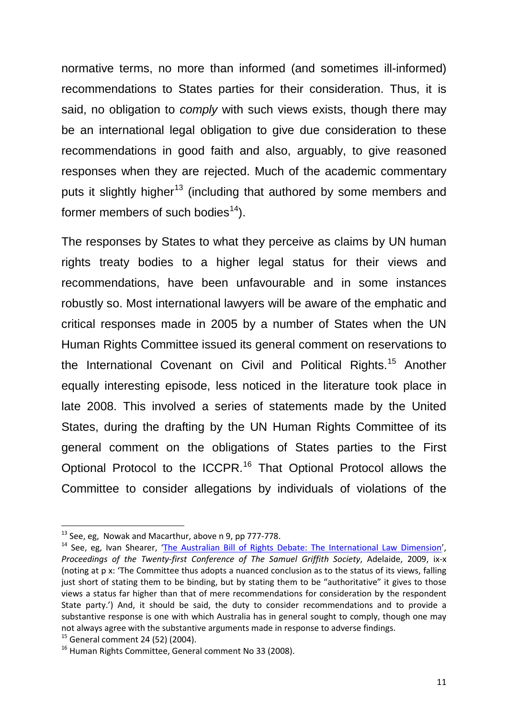normative terms, no more than informed (and sometimes ill-informed) recommendations to States parties for their consideration. Thus, it is said, no obligation to *comply* with such views exists, though there may be an international legal obligation to give due consideration to these recommendations in good faith and also, arguably, to give reasoned responses when they are rejected. Much of the academic commentary puts it slightly higher<sup>[13](#page-10-0)</sup> (including that authored by some members and former members of such bodies<sup>[14](#page-10-1)</sup>).

The responses by States to what they perceive as claims by UN human rights treaty bodies to a higher legal status for their views and recommendations, have been unfavourable and in some instances robustly so. Most international lawyers will be aware of the emphatic and critical responses made in 2005 by a number of States when the UN Human Rights Committee issued its general comment on reservations to the International Covenant on Civil and Political Rights.<sup>[15](#page-10-2)</sup> Another equally interesting episode, less noticed in the literature took place in late 2008. This involved a series of statements made by the United States, during the drafting by the UN Human Rights Committee of its general comment on the obligations of States parties to the First Optional Protocol to the ICCPR.[16](#page-10-3) That Optional Protocol allows the Committee to consider allegations by individuals of violations of the

<span id="page-10-0"></span> $13$  See, eg, Nowak and Macarthur, above n [9,](#page-9-4) pp 777-778.

<span id="page-10-1"></span><sup>&</sup>lt;sup>14</sup> See, eg, Ivan Shearer, ['The Australian Bill of Rights Debate: The International Law Dimension'](http://samuelgriffith.org.au/docs/vol21/vol21dinner.pdf), *Proceedings of the Twenty-first Conference of The Samuel Griffith Society*, Adelaide, 2009, ix-x (noting at p x: 'The Committee thus adopts a nuanced conclusion as to the status of its views, falling just short of stating them to be binding, but by stating them to be "authoritative" it gives to those views a status far higher than that of mere recommendations for consideration by the respondent State party.') And, it should be said, the duty to consider recommendations and to provide a substantive response is one with which Australia has in general sought to comply, though one may not always agree with the substantive arguments made in response to adverse findings.

<span id="page-10-2"></span> $15$  General comment 24 (52) (2004).

<span id="page-10-3"></span><sup>&</sup>lt;sup>16</sup> Human Rights Committee, General comment No 33 (2008).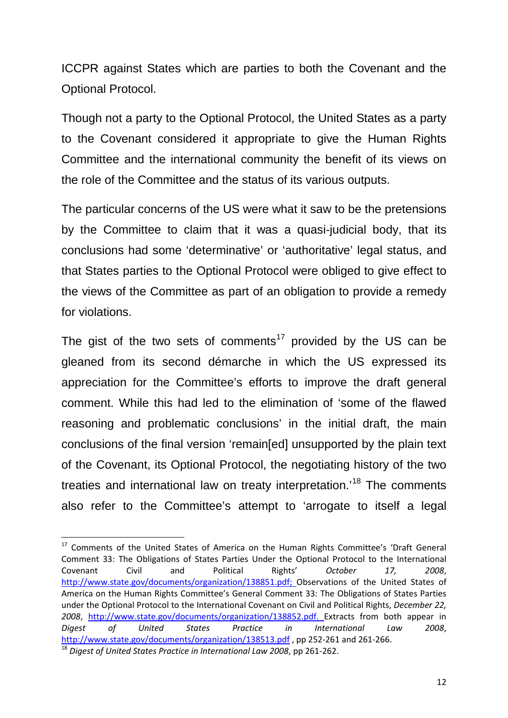ICCPR against States which are parties to both the Covenant and the Optional Protocol.

Though not a party to the Optional Protocol, the United States as a party to the Covenant considered it appropriate to give the Human Rights Committee and the international community the benefit of its views on the role of the Committee and the status of its various outputs.

The particular concerns of the US were what it saw to be the pretensions by the Committee to claim that it was a quasi-judicial body, that its conclusions had some 'determinative' or 'authoritative' legal status, and that States parties to the Optional Protocol were obliged to give effect to the views of the Committee as part of an obligation to provide a remedy for violations.

The gist of the two sets of comments<sup>[17](#page-11-0)</sup> provided by the US can be gleaned from its second démarche in which the US expressed its appreciation for the Committee's efforts to improve the draft general comment. While this had led to the elimination of 'some of the flawed reasoning and problematic conclusions' in the initial draft, the main conclusions of the final version 'remain[ed] unsupported by the plain text of the Covenant, its Optional Protocol, the negotiating history of the two treaties and international law on treaty interpretation.<sup>[18](#page-11-1)</sup> The comments also refer to the Committee's attempt to 'arrogate to itself a legal

<span id="page-11-1"></span><span id="page-11-0"></span><sup>&</sup>lt;sup>17</sup> Comments of the United States of America on the Human Rights Committee's 'Draft General Comment 33: The Obligations of States Parties Under the Optional Protocol to the International Covenant Civil and Political Rights' *October 17, 2008*, [http://www.state.gov/documents/organization/138851.pdf;](http://www.state.gov/documents/organization/138851.pdf) Observations of the United States of America on the Human Rights Committee's General Comment 33: The Obligations of States Parties under the Optional Protocol to the International Covenant on Civil and Political Rights, *December 22, 2008*, [http://www.state.gov/documents/organization/138852.pdf.](http://www.state.gov/documents/organization/138852.pdf) Extracts from both appear in *Digest of United States Practice in International Law 2008*, <http://www.state.gov/documents/organization/138513.pdf> , pp 252-261 and 261-266. <sup>18</sup> *Digest of United States Practice in International Law 2008*, pp 261-262.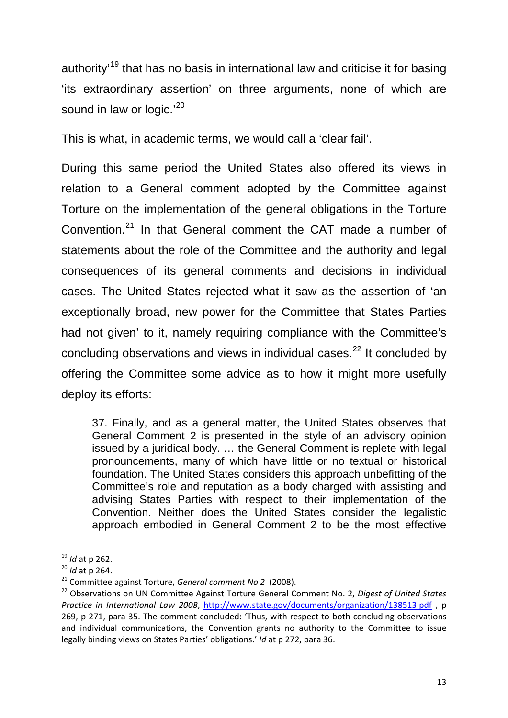authority<sup>[19](#page-12-0)</sup> that has no basis in international law and criticise it for basing 'its extraordinary assertion' on three arguments, none of which are sound in law or logic.<sup>'[20](#page-12-1)</sup>

This is what, in academic terms, we would call a 'clear fail'.

During this same period the United States also offered its views in relation to a General comment adopted by the Committee against Torture on the implementation of the general obligations in the Torture Convention.[21](#page-12-2) In that General comment the CAT made a number of statements about the role of the Committee and the authority and legal consequences of its general comments and decisions in individual cases. The United States rejected what it saw as the assertion of 'an exceptionally broad, new power for the Committee that States Parties had not given' to it, namely requiring compliance with the Committee's concluding observations and views in individual cases. $^{22}$  $^{22}$  $^{22}$  It concluded by offering the Committee some advice as to how it might more usefully deploy its efforts:

37. Finally, and as a general matter, the United States observes that General Comment 2 is presented in the style of an advisory opinion issued by a juridical body. … the General Comment is replete with legal pronouncements, many of which have little or no textual or historical foundation. The United States considers this approach unbefitting of the Committee's role and reputation as a body charged with assisting and advising States Parties with respect to their implementation of the Convention. Neither does the United States consider the legalistic approach embodied in General Comment 2 to be the most effective

<span id="page-12-0"></span> <sup>19</sup> *Id* at p 262.

<span id="page-12-1"></span><sup>20</sup> *Id* at p 264.

<span id="page-12-2"></span><sup>21</sup> Committee against Torture, *General comment No 2* (2008).

<span id="page-12-3"></span><sup>22</sup> Observations on UN Committee Against Torture General Comment No. 2, *Digest of United States Practice in International Law 2008*,<http://www.state.gov/documents/organization/138513.pdf> , p 269, p 271, para 35. The comment concluded: 'Thus, with respect to both concluding observations and individual communications, the Convention grants no authority to the Committee to issue legally binding views on States Parties' obligations.' *Id* at p 272, para 36.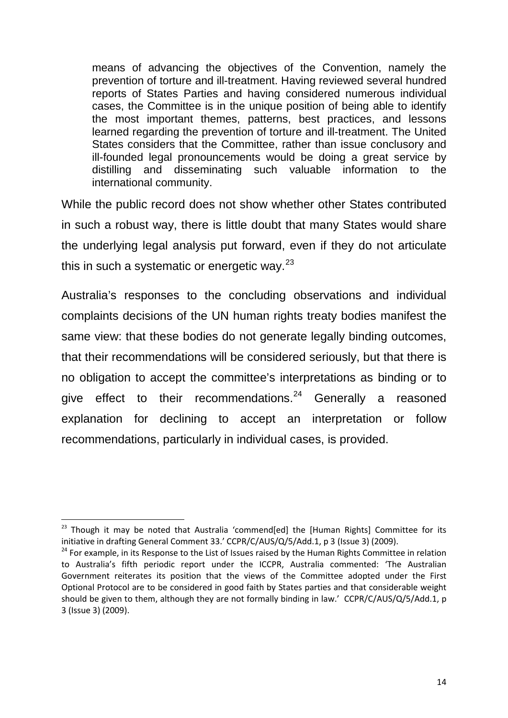means of advancing the objectives of the Convention, namely the prevention of torture and ill-treatment. Having reviewed several hundred reports of States Parties and having considered numerous individual cases, the Committee is in the unique position of being able to identify the most important themes, patterns, best practices, and lessons learned regarding the prevention of torture and ill-treatment. The United States considers that the Committee, rather than issue conclusory and ill-founded legal pronouncements would be doing a great service by distilling and disseminating such valuable information to the international community.

While the public record does not show whether other States contributed in such a robust way, there is little doubt that many States would share the underlying legal analysis put forward, even if they do not articulate this in such a systematic or energetic way. $23$ 

Australia's responses to the concluding observations and individual complaints decisions of the UN human rights treaty bodies manifest the same view: that these bodies do not generate legally binding outcomes, that their recommendations will be considered seriously, but that there is no obligation to accept the committee's interpretations as binding or to give effect to their recommendations. $24$  Generally a reasoned explanation for declining to accept an interpretation or follow recommendations, particularly in individual cases, is provided.

<span id="page-13-0"></span> $23$  Though it may be noted that Australia 'commend[ed] the [Human Rights] Committee for its initiative in drafting General Comment 33.' CCPR/C/AUS/Q/5/Add.1, p 3 (Issue 3) (2009).

<span id="page-13-1"></span><sup>&</sup>lt;sup>24</sup> For example, in its Response to the List of Issues raised by the Human Rights Committee in relation to Australia's fifth periodic report under the ICCPR, Australia commented: 'The Australian Government reiterates its position that the views of the Committee adopted under the First Optional Protocol are to be considered in good faith by States parties and that considerable weight should be given to them, although they are not formally binding in law.' CCPR/C/AUS/Q/5/Add.1, p 3 (Issue 3) (2009).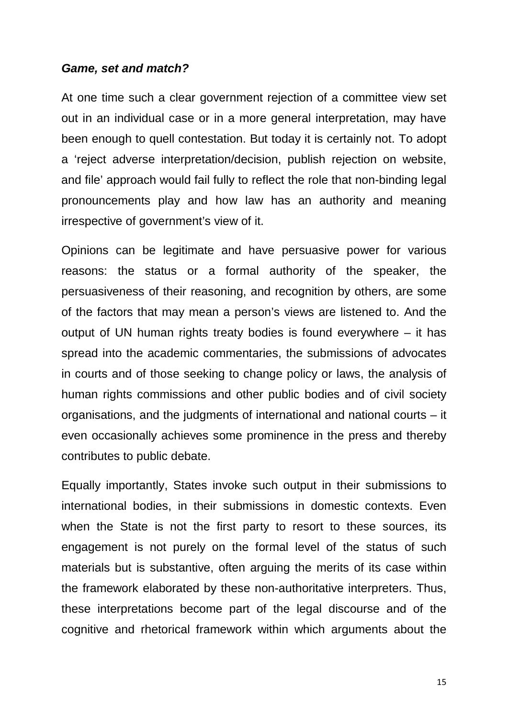#### *Game, set and match?*

At one time such a clear government rejection of a committee view set out in an individual case or in a more general interpretation, may have been enough to quell contestation. But today it is certainly not. To adopt a 'reject adverse interpretation/decision, publish rejection on website, and file' approach would fail fully to reflect the role that non-binding legal pronouncements play and how law has an authority and meaning irrespective of government's view of it.

Opinions can be legitimate and have persuasive power for various reasons: the status or a formal authority of the speaker, the persuasiveness of their reasoning, and recognition by others, are some of the factors that may mean a person's views are listened to. And the output of UN human rights treaty bodies is found everywhere – it has spread into the academic commentaries, the submissions of advocates in courts and of those seeking to change policy or laws, the analysis of human rights commissions and other public bodies and of civil society organisations, and the judgments of international and national courts – it even occasionally achieves some prominence in the press and thereby contributes to public debate.

Equally importantly, States invoke such output in their submissions to international bodies, in their submissions in domestic contexts. Even when the State is not the first party to resort to these sources, its engagement is not purely on the formal level of the status of such materials but is substantive, often arguing the merits of its case within the framework elaborated by these non-authoritative interpreters. Thus, these interpretations become part of the legal discourse and of the cognitive and rhetorical framework within which arguments about the

15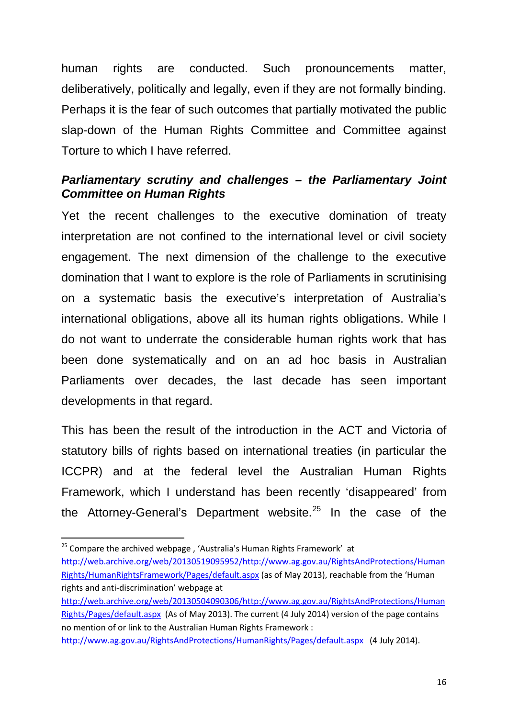human rights are conducted. Such pronouncements matter, deliberatively, politically and legally, even if they are not formally binding. Perhaps it is the fear of such outcomes that partially motivated the public slap-down of the Human Rights Committee and Committee against Torture to which I have referred.

## *Parliamentary scrutiny and challenges – the Parliamentary Joint Committee on Human Rights*

Yet the recent challenges to the executive domination of treaty interpretation are not confined to the international level or civil society engagement. The next dimension of the challenge to the executive domination that I want to explore is the role of Parliaments in scrutinising on a systematic basis the executive's interpretation of Australia's international obligations, above all its human rights obligations. While I do not want to underrate the considerable human rights work that has been done systematically and on an ad hoc basis in Australian Parliaments over decades, the last decade has seen important developments in that regard.

This has been the result of the introduction in the ACT and Victoria of statutory bills of rights based on international treaties (in particular the ICCPR) and at the federal level the Australian Human Rights Framework, which I understand has been recently 'disappeared' from the Attorney-General's Department website.<sup>[25](#page-15-0)</sup> In the case of the

[http://web.archive.org/web/20130504090306/http://www.ag.gov.au/RightsAndProtections/Human](http://web.archive.org/web/20130504090306/http:/www.ag.gov.au/RightsAndProtections/HumanRights/Pages/default.aspx) [Rights/Pages/default.aspx](http://web.archive.org/web/20130504090306/http:/www.ag.gov.au/RightsAndProtections/HumanRights/Pages/default.aspx) (As of May 2013). The current (4 July 2014) version of the page contains no mention of or link to the Australian Human Rights Framework :

<span id="page-15-0"></span><sup>&</sup>lt;sup>25</sup> Compare the archived webpage, 'Australia's Human Rights Framework' at [http://web.archive.org/web/20130519095952/http://www.ag.gov.au/RightsAndProtections/Human](http://web.archive.org/web/20130519095952/http:/www.ag.gov.au/RightsAndProtections/HumanRights/HumanRightsFramework/Pages/default.aspx) [Rights/HumanRightsFramework/Pages/default.aspx](http://web.archive.org/web/20130519095952/http:/www.ag.gov.au/RightsAndProtections/HumanRights/HumanRightsFramework/Pages/default.aspx) (as of May 2013), reachable from the 'Human rights and anti-discrimination' webpage at

<http://www.ag.gov.au/RightsAndProtections/HumanRights/Pages/default.aspx>(4 July 2014).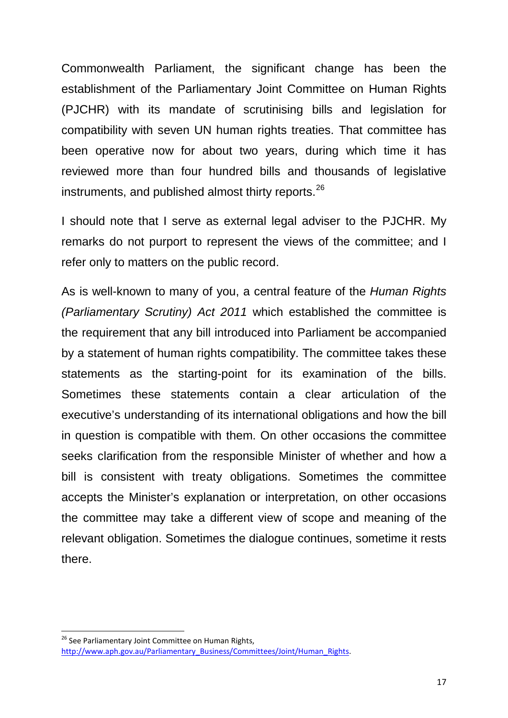Commonwealth Parliament, the significant change has been the establishment of the Parliamentary Joint Committee on Human Rights (PJCHR) with its mandate of scrutinising bills and legislation for compatibility with seven UN human rights treaties. That committee has been operative now for about two years, during which time it has reviewed more than four hundred bills and thousands of legislative instruments, and published almost thirty reports.<sup>[26](#page-16-0)</sup>

I should note that I serve as external legal adviser to the PJCHR. My remarks do not purport to represent the views of the committee; and I refer only to matters on the public record.

As is well-known to many of you, a central feature of the *Human Rights (Parliamentary Scrutiny) Act 2011* which established the committee is the requirement that any bill introduced into Parliament be accompanied by a statement of human rights compatibility. The committee takes these statements as the starting-point for its examination of the bills. Sometimes these statements contain a clear articulation of the executive's understanding of its international obligations and how the bill in question is compatible with them. On other occasions the committee seeks clarification from the responsible Minister of whether and how a bill is consistent with treaty obligations. Sometimes the committee accepts the Minister's explanation or interpretation, on other occasions the committee may take a different view of scope and meaning of the relevant obligation. Sometimes the dialogue continues, sometime it rests there.

<span id="page-16-0"></span><sup>&</sup>lt;sup>26</sup> See Parliamentary Joint Committee on Human Rights, http://www.aph.gov.au/Parliamentary\_Business/Committees/Joint/Human\_Rights.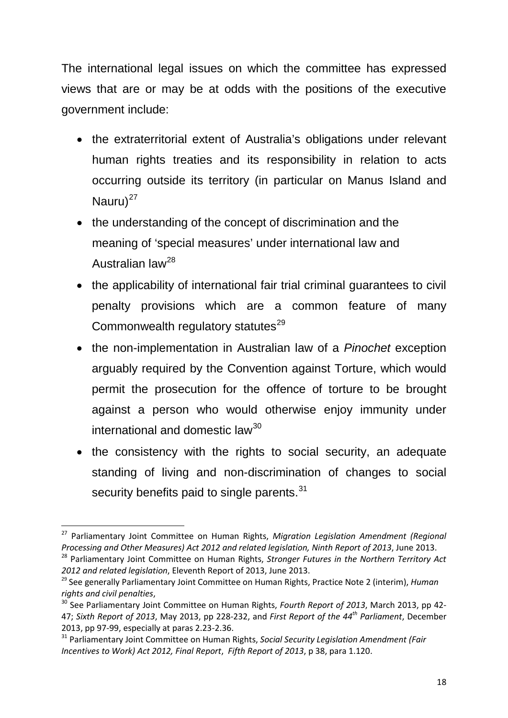The international legal issues on which the committee has expressed views that are or may be at odds with the positions of the executive government include:

- the extraterritorial extent of Australia's obligations under relevant human rights treaties and its responsibility in relation to acts occurring outside its territory (in particular on Manus Island and Nauru $)^{27}$  $)^{27}$  $)^{27}$
- the understanding of the concept of discrimination and the meaning of 'special measures' under international law and Australian law[28](#page-17-1)
- the applicability of international fair trial criminal guarantees to civil penalty provisions which are a common feature of many Commonwealth regulatory statutes<sup>[29](#page-17-2)</sup>
- the non-implementation in Australian law of a *Pinochet* exception arguably required by the Convention against Torture, which would permit the prosecution for the offence of torture to be brought against a person who would otherwise enjoy immunity under international and domestic law<sup>[30](#page-17-3)</sup>
- the consistency with the rights to social security, an adequate standing of living and non-discrimination of changes to social security benefits paid to single parents.<sup>[31](#page-17-4)</sup>

<span id="page-17-0"></span> <sup>27</sup> Parliamentary Joint Committee on Human Rights, *Migration Legislation Amendment (Regional Processing and Other Measures) Act 2012 and related legislation, Ninth Report of 2013*, June 2013.

<span id="page-17-1"></span><sup>28</sup> Parliamentary Joint Committee on Human Rights, *Stronger Futures in the Northern Territory Act 2012 and related legislation*, Eleventh Report of 2013, June 2013.

<span id="page-17-2"></span><sup>29</sup> See generally Parliamentary Joint Committee on Human Rights, Practice Note 2 (interim), *Human rights and civil penalties*,

<span id="page-17-3"></span><sup>30</sup> See Parliamentary Joint Committee on Human Rights, *Fourth Report of 2013*, March 2013, pp 42- 47; *Sixth Report of 2013*, May 2013, pp 228-232, and *First Report of the 44th Parliament*, December 2013, pp 97-99, especially at paras 2.23-2.36.

<span id="page-17-4"></span><sup>31</sup> Parliamentary Joint Committee on Human Rights, *Social Security Legislation Amendment (Fair Incentives to Work) Act 2012, Final Report*, *Fifth Report of 2013*, p 38, para 1.120.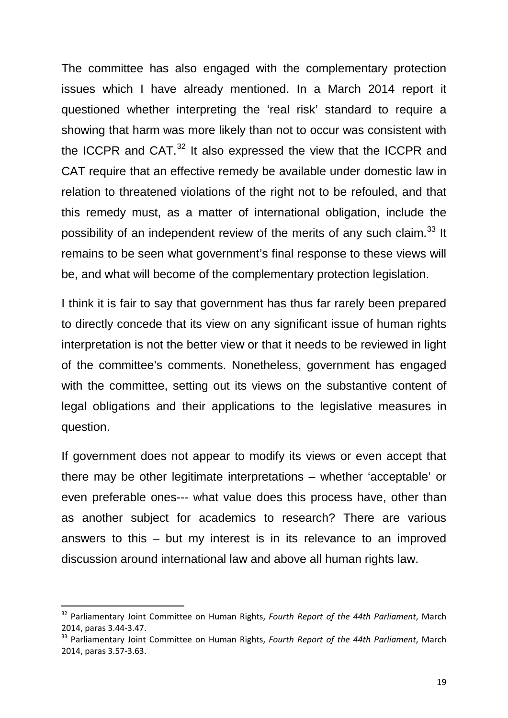The committee has also engaged with the complementary protection issues which I have already mentioned. In a March 2014 report it questioned whether interpreting the 'real risk' standard to require a showing that harm was more likely than not to occur was consistent with the ICCPR and CAT.<sup>[32](#page-18-0)</sup> It also expressed the view that the ICCPR and CAT require that an effective remedy be available under domestic law in relation to threatened violations of the right not to be refouled, and that this remedy must, as a matter of international obligation, include the possibility of an independent review of the merits of any such claim.<sup>[33](#page-18-1)</sup> It remains to be seen what government's final response to these views will be, and what will become of the complementary protection legislation.

I think it is fair to say that government has thus far rarely been prepared to directly concede that its view on any significant issue of human rights interpretation is not the better view or that it needs to be reviewed in light of the committee's comments. Nonetheless, government has engaged with the committee, setting out its views on the substantive content of legal obligations and their applications to the legislative measures in question.

If government does not appear to modify its views or even accept that there may be other legitimate interpretations – whether 'acceptable' or even preferable ones--- what value does this process have, other than as another subject for academics to research? There are various answers to this – but my interest is in its relevance to an improved discussion around international law and above all human rights law.

<span id="page-18-0"></span> <sup>32</sup> Parliamentary Joint Committee on Human Rights, *Fourth Report of the 44th Parliament*, March 2014, paras 3.44-3.47.

<span id="page-18-1"></span><sup>33</sup> Parliamentary Joint Committee on Human Rights, *Fourth Report of the 44th Parliament*, March 2014, paras 3.57-3.63.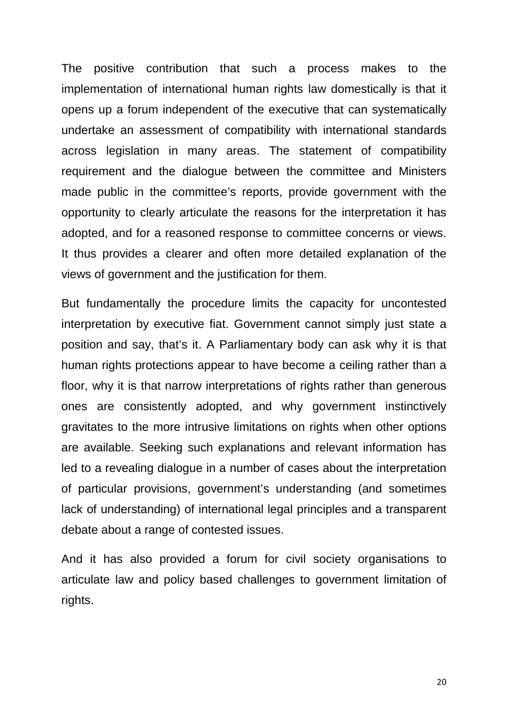The positive contribution that such a process makes to the implementation of international human rights law domestically is that it opens up a forum independent of the executive that can systematically undertake an assessment of compatibility with international standards across legislation in many areas. The statement of compatibility requirement and the dialogue between the committee and Ministers made public in the committee's reports, provide government with the opportunity to clearly articulate the reasons for the interpretation it has adopted, and for a reasoned response to committee concerns or views. It thus provides a clearer and often more detailed explanation of the views of government and the justification for them.

But fundamentally the procedure limits the capacity for uncontested interpretation by executive fiat. Government cannot simply just state a position and say, that's it. A Parliamentary body can ask why it is that human rights protections appear to have become a ceiling rather than a floor, why it is that narrow interpretations of rights rather than generous ones are consistently adopted, and why government instinctively gravitates to the more intrusive limitations on rights when other options are available. Seeking such explanations and relevant information has led to a revealing dialogue in a number of cases about the interpretation of particular provisions, government's understanding (and sometimes lack of understanding) of international legal principles and a transparent debate about a range of contested issues.

And it has also provided a forum for civil society organisations to articulate law and policy based challenges to government limitation of rights.

20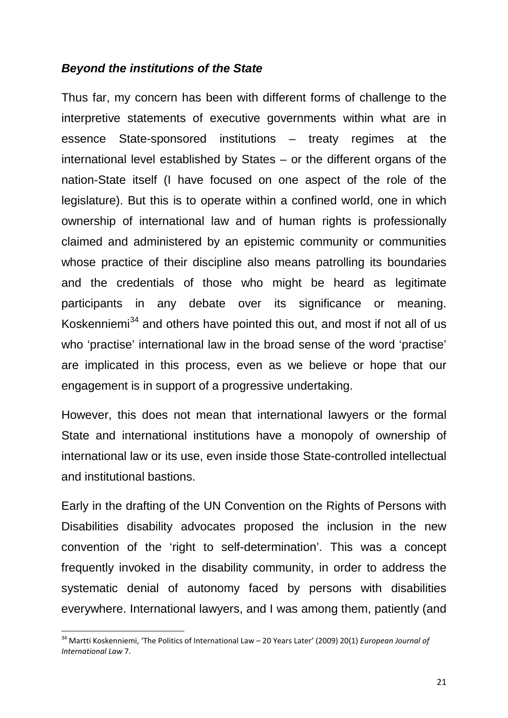### *Beyond the institutions of the State*

Thus far, my concern has been with different forms of challenge to the interpretive statements of executive governments within what are in essence State-sponsored institutions – treaty regimes at the international level established by States – or the different organs of the nation-State itself (I have focused on one aspect of the role of the legislature). But this is to operate within a confined world, one in which ownership of international law and of human rights is professionally claimed and administered by an epistemic community or communities whose practice of their discipline also means patrolling its boundaries and the credentials of those who might be heard as legitimate participants in any debate over its significance or meaning. Koskenniemi<sup>[34](#page-20-0)</sup> and others have pointed this out, and most if not all of us who 'practise' international law in the broad sense of the word 'practise' are implicated in this process, even as we believe or hope that our engagement is in support of a progressive undertaking.

However, this does not mean that international lawyers or the formal State and international institutions have a monopoly of ownership of international law or its use, even inside those State-controlled intellectual and institutional bastions.

Early in the drafting of the UN Convention on the Rights of Persons with Disabilities disability advocates proposed the inclusion in the new convention of the 'right to self-determination'. This was a concept frequently invoked in the disability community, in order to address the systematic denial of autonomy faced by persons with disabilities everywhere. International lawyers, and I was among them, patiently (and

<span id="page-20-0"></span> <sup>34</sup> Martti Koskenniemi, 'The Politics of International Law – 20 Years Later' (2009) 20(1) *European Journal of International Law* 7.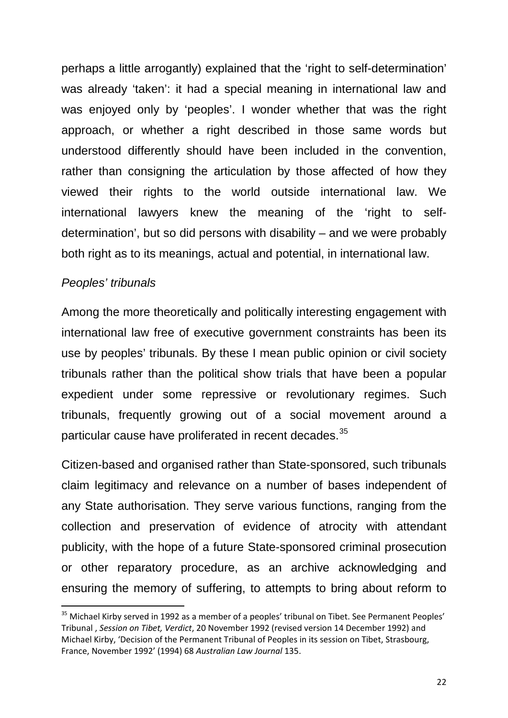perhaps a little arrogantly) explained that the 'right to self-determination' was already 'taken': it had a special meaning in international law and was enjoyed only by 'peoples'. I wonder whether that was the right approach, or whether a right described in those same words but understood differently should have been included in the convention, rather than consigning the articulation by those affected of how they viewed their rights to the world outside international law. We international lawyers knew the meaning of the 'right to selfdetermination', but so did persons with disability – and we were probably both right as to its meanings, actual and potential, in international law.

### *Peoples' tribunals*

Among the more theoretically and politically interesting engagement with international law free of executive government constraints has been its use by peoples' tribunals. By these I mean public opinion or civil society tribunals rather than the political show trials that have been a popular expedient under some repressive or revolutionary regimes. Such tribunals, frequently growing out of a social movement around a particular cause have proliferated in recent decades.<sup>[35](#page-21-0)</sup>

Citizen-based and organised rather than State-sponsored, such tribunals claim legitimacy and relevance on a number of bases independent of any State authorisation. They serve various functions, ranging from the collection and preservation of evidence of atrocity with attendant publicity, with the hope of a future State-sponsored criminal prosecution or other reparatory procedure, as an archive acknowledging and ensuring the memory of suffering, to attempts to bring about reform to

<span id="page-21-0"></span><sup>&</sup>lt;sup>35</sup> Michael Kirby served in 1992 as a member of a peoples' tribunal on Tibet. See Permanent Peoples' Tribunal , *Session on Tibet, Verdict*, 20 November 1992 (revised version 14 December 1992) and Michael Kirby, 'Decision of the Permanent Tribunal of Peoples in its session on Tibet, Strasbourg, France, November 1992' (1994) 68 *Australian Law Journal* 135.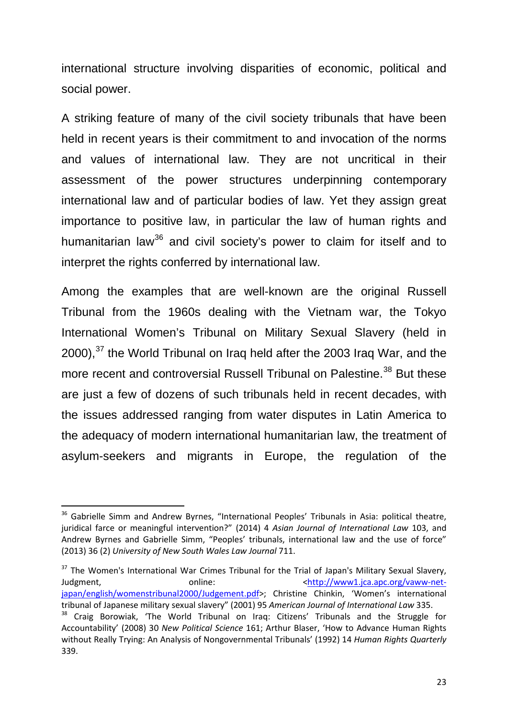international structure involving disparities of economic, political and social power.

A striking feature of many of the civil society tribunals that have been held in recent years is their commitment to and invocation of the norms and values of international law. They are not uncritical in their assessment of the power structures underpinning contemporary international law and of particular bodies of law. Yet they assign great importance to positive law, in particular the law of human rights and humanitarian law<sup>[36](#page-22-0)</sup> and civil society's power to claim for itself and to interpret the rights conferred by international law.

Among the examples that are well-known are the original Russell Tribunal from the 1960s dealing with the Vietnam war, the Tokyo International Women's Tribunal on Military Sexual Slavery (held in  $2000$ ,  $37$  the World Tribunal on Iraq held after the 2003 Iraq War, and the more recent and controversial Russell Tribunal on Palestine.<sup>[38](#page-22-2)</sup> But these are just a few of dozens of such tribunals held in recent decades, with the issues addressed ranging from water disputes in Latin America to the adequacy of modern international humanitarian law, the treatment of asylum-seekers and migrants in Europe, the regulation of the

<span id="page-22-1"></span><sup>37</sup> The Women's International War Crimes Tribunal for the Trial of Japan's Military Sexual Slavery, Judgment, and the condine: continue online:  $\langle \text{http://www1.ica.abc.ore/vaww-net-} \rangle$ [japan/english/womenstribunal2000/Judgement.pdf>](http://www1.jca.apc.org/vaww-net-japan/english/womenstribunal2000/Judgement.pdf); Christine Chinkin, 'Women's international tribunal of Japanese military sexual slavery" (2001) 95 *American Journal of International Law* 335.

<span id="page-22-0"></span><sup>&</sup>lt;sup>36</sup> Gabrielle Simm and Andrew Byrnes, "International Peoples' Tribunals in Asia: political theatre, juridical farce or meaningful intervention?" (2014) 4 *Asian Journal of International Law* 103, and Andrew Byrnes and Gabrielle Simm, "Peoples' tribunals, international law and the use of force" (2013) 36 (2) *University of New South Wales Law Journal* 711.

<span id="page-22-2"></span><sup>&</sup>lt;sup>38</sup> Craig Borowiak, 'The World Tribunal on Iraq: Citizens' Tribunals and the Struggle for Accountability' (2008) 30 *New Political Science* 161; Arthur Blaser, 'How to Advance Human Rights without Really Trying: An Analysis of Nongovernmental Tribunals' (1992) 14 *Human Rights Quarterly* 339.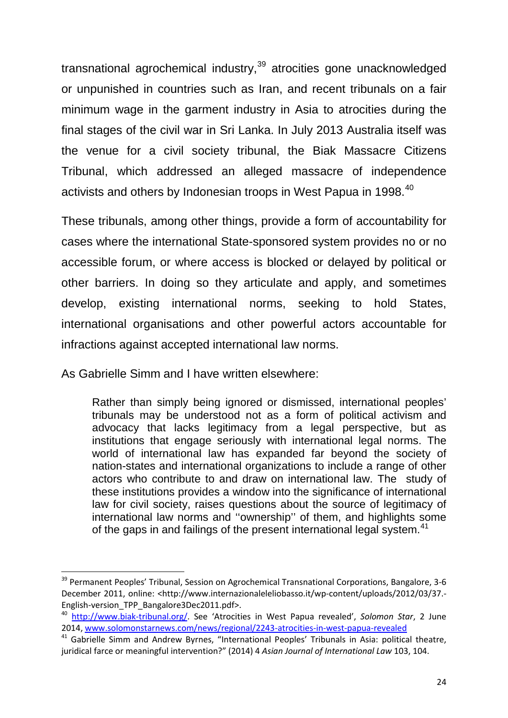transnational agrochemical industry,<sup>[39](#page-23-0)</sup> atrocities gone unacknowledged or unpunished in countries such as Iran, and recent tribunals on a fair minimum wage in the garment industry in Asia to atrocities during the final stages of the civil war in Sri Lanka. In July 2013 Australia itself was the venue for a civil society tribunal, the Biak Massacre Citizens Tribunal, which addressed an alleged massacre of independence activists and others by Indonesian troops in West Papua in 1998.<sup>[40](#page-23-1)</sup>

These tribunals, among other things, provide a form of accountability for cases where the international State-sponsored system provides no or no accessible forum, or where access is blocked or delayed by political or other barriers. In doing so they articulate and apply, and sometimes develop, existing international norms, seeking to hold States, international organisations and other powerful actors accountable for infractions against accepted international law norms.

As Gabrielle Simm and I have written elsewhere:

Rather than simply being ignored or dismissed, international peoples' tribunals may be understood not as a form of political activism and advocacy that lacks legitimacy from a legal perspective, but as institutions that engage seriously with international legal norms. The world of international law has expanded far beyond the society of nation-states and international organizations to include a range of other actors who contribute to and draw on international law. The study of these institutions provides a window into the significance of international law for civil society, raises questions about the source of legitimacy of international law norms and ''ownership'' of them, and highlights some of the gaps in and failings of the present international legal system.<sup>[41](#page-23-2)</sup>

<span id="page-23-0"></span><sup>&</sup>lt;sup>39</sup> Permanent Peoples' Tribunal, Session on Agrochemical Transnational Corporations, Bangalore, 3-6 December 2011, online: <http://www.internazionaleleliobasso.it/wp-content/uploads/2012/03/37.-English-version\_TPP\_Bangalore3Dec2011.pdf>.

<span id="page-23-1"></span><sup>40</sup> [http://www.biak-tribunal.org/.](http://www.biak-tribunal.org/) See ['Atrocities in West Papua revealed'](http://www.solomonstarnews.com/news/regional/2243-atrocities-in-west-papua-revealed), *Solomon Star*, 2 June 2014[, www.solomonstarnews.com/news/regional/2243-atrocities-in-west-papua-revealed](http://www.solomonstarnews.com/news/regional/2243-atrocities-in-west-papua-revealed)

<span id="page-23-2"></span><sup>&</sup>lt;sup>41</sup> Gabrielle Simm and Andrew Byrnes, "International Peoples' Tribunals in Asia: political theatre, juridical farce or meaningful intervention?" (2014) 4 *Asian Journal of International Law* 103, 104.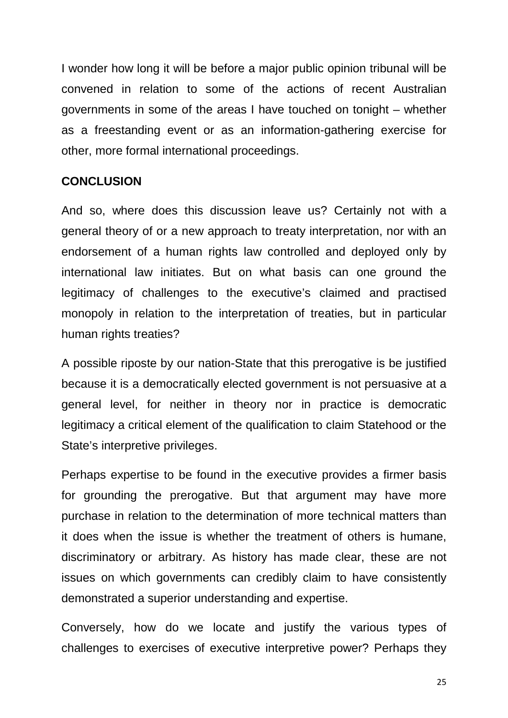I wonder how long it will be before a major public opinion tribunal will be convened in relation to some of the actions of recent Australian governments in some of the areas I have touched on tonight – whether as a freestanding event or as an information-gathering exercise for other, more formal international proceedings.

### **CONCLUSION**

And so, where does this discussion leave us? Certainly not with a general theory of or a new approach to treaty interpretation, nor with an endorsement of a human rights law controlled and deployed only by international law initiates. But on what basis can one ground the legitimacy of challenges to the executive's claimed and practised monopoly in relation to the interpretation of treaties, but in particular human rights treaties?

A possible riposte by our nation-State that this prerogative is be justified because it is a democratically elected government is not persuasive at a general level, for neither in theory nor in practice is democratic legitimacy a critical element of the qualification to claim Statehood or the State's interpretive privileges.

Perhaps expertise to be found in the executive provides a firmer basis for grounding the prerogative. But that argument may have more purchase in relation to the determination of more technical matters than it does when the issue is whether the treatment of others is humane, discriminatory or arbitrary. As history has made clear, these are not issues on which governments can credibly claim to have consistently demonstrated a superior understanding and expertise.

Conversely, how do we locate and justify the various types of challenges to exercises of executive interpretive power? Perhaps they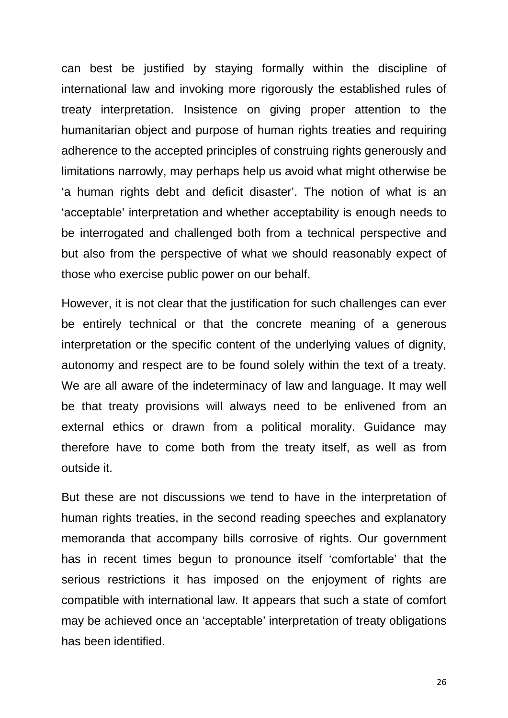can best be justified by staying formally within the discipline of international law and invoking more rigorously the established rules of treaty interpretation. Insistence on giving proper attention to the humanitarian object and purpose of human rights treaties and requiring adherence to the accepted principles of construing rights generously and limitations narrowly, may perhaps help us avoid what might otherwise be 'a human rights debt and deficit disaster'. The notion of what is an 'acceptable' interpretation and whether acceptability is enough needs to be interrogated and challenged both from a technical perspective and but also from the perspective of what we should reasonably expect of those who exercise public power on our behalf.

However, it is not clear that the justification for such challenges can ever be entirely technical or that the concrete meaning of a generous interpretation or the specific content of the underlying values of dignity, autonomy and respect are to be found solely within the text of a treaty. We are all aware of the indeterminacy of law and language. It may well be that treaty provisions will always need to be enlivened from an external ethics or drawn from a political morality. Guidance may therefore have to come both from the treaty itself, as well as from outside it.

But these are not discussions we tend to have in the interpretation of human rights treaties, in the second reading speeches and explanatory memoranda that accompany bills corrosive of rights. Our government has in recent times begun to pronounce itself 'comfortable' that the serious restrictions it has imposed on the enjoyment of rights are compatible with international law. It appears that such a state of comfort may be achieved once an 'acceptable' interpretation of treaty obligations has been identified.

26